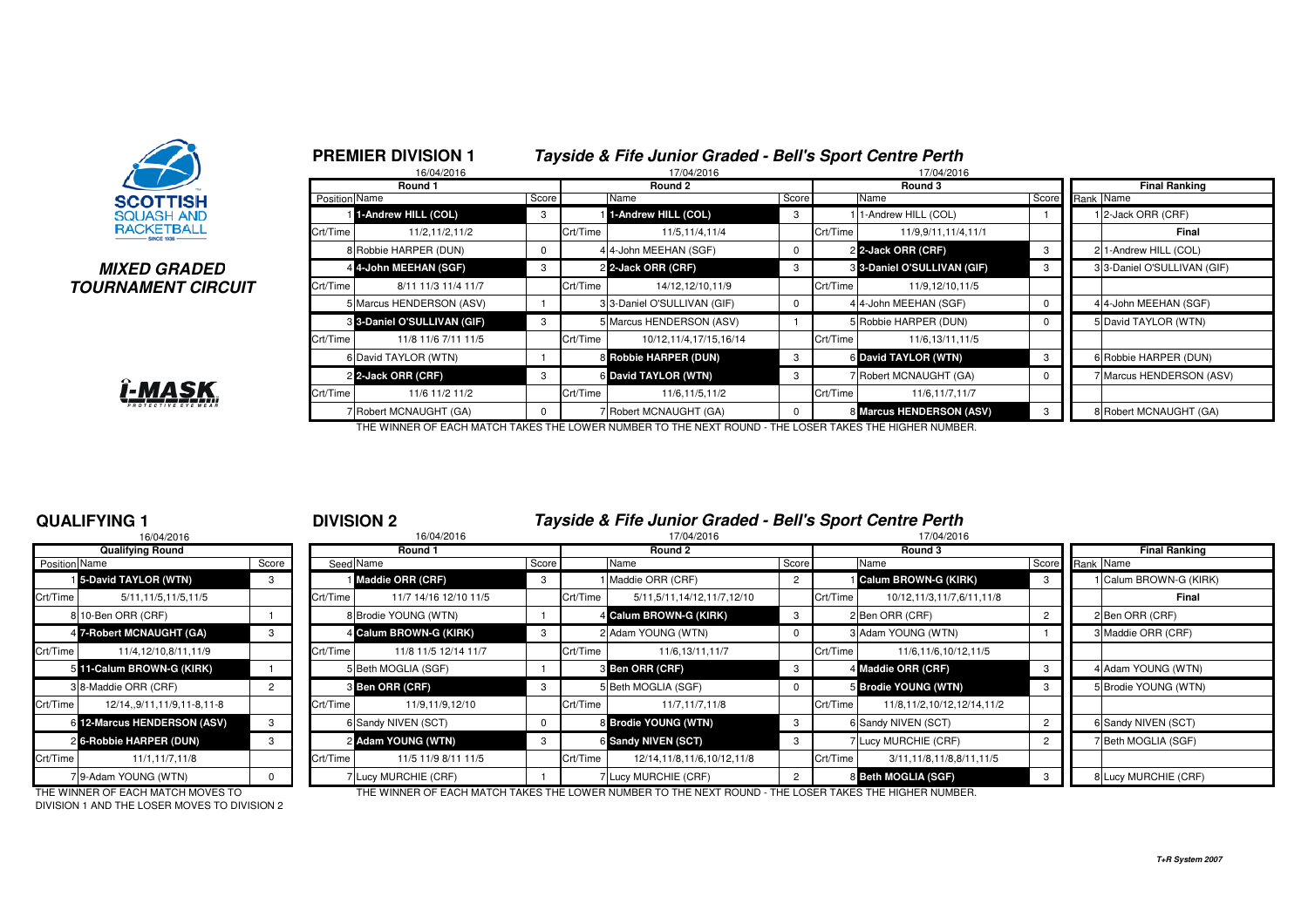

#### **MIXED GRADEDTOURNAMENT CIRCUIT**



|               | 16/04/2016                  |          |          | 17/04/2016                 |          |          | 17/04/2016                  |          |  |                                   |  |  |
|---------------|-----------------------------|----------|----------|----------------------------|----------|----------|-----------------------------|----------|--|-----------------------------------|--|--|
|               | Round 1                     |          |          | Round 2                    |          | Round 3  |                             |          |  | <b>Final Ranking</b><br>Rank Name |  |  |
| Position Name |                             | Score    |          | Name                       | Score    |          | Name                        | Score    |  |                                   |  |  |
|               | 1-Andrew HILL (COL)         | 3        |          | 1-Andrew HILL (COL)        | 3        |          | 1-Andrew HILL (COL)         |          |  | 2-Jack ORR (CRF)                  |  |  |
| Crt/Time      | 11/2,11/2,11/2              |          | Crt/Time | 11/5,11/4,11/4             |          | Crt/Time | 11/9,9/11,11/4,11/1         |          |  | Final                             |  |  |
|               | 8 Robbie HARPER (DUN)       | $\Omega$ |          | 4 4-John MEEHAN (SGF)      | 0        |          | 2 2-Jack ORR (CRF)          | 3        |  | 2 1-Andrew HILL (COL)             |  |  |
|               | 44-John MEEHAN (SGF)        | 3        |          | 2 2-Jack ORR (CRF)         | 3        |          | 3 3-Daniel O'SULLIVAN (GIF) | 3        |  | 33-Daniel O'SULLIVAN (GIF)        |  |  |
| Crt/Time      | 8/11 11/3 11/4 11/7         |          | Crt/Time | 14/12, 12/10, 11/9         |          | Crt/Time | 11/9,12/10,11/5             |          |  |                                   |  |  |
|               | 5 Marcus HENDERSON (ASV)    |          |          | 33-Daniel O'SULLIVAN (GIF) | 0        |          | 44-John MEEHAN (SGF)        | 0        |  | 4 4-John MEEHAN (SGF)             |  |  |
|               | 3 3-Daniel O'SULLIVAN (GIF) | 3        |          | 5 Marcus HENDERSON (ASV)   |          |          | 5 Robbie HARPER (DUN)       | $\Omega$ |  | 5 David TAYLOR (WTN)              |  |  |
| Crt/Time      | 11/8 11/6 7/11 11/5         |          | Crt/Time | 10/12.11/4.17/15.16/14     |          | Crt/Time | 11/6,13/11,11/5             |          |  |                                   |  |  |
|               | 6 David TAYLOR (WTN)        |          |          | 8 Robbie HARPER (DUN)      | 3        |          | 6 David TAYLOR (WTN)        | 3        |  | 6 Robbie HARPER (DUN)             |  |  |
|               | 2 2-Jack ORR (CRF)          | 3        |          | 6 David TAYLOR (WTN)       | 3        |          | Robert MCNAUGHT (GA)        | 0        |  | 7 Marcus HENDERSON (ASV)          |  |  |
| Crt/Time      | 11/6 11/2 11/2              |          | Crt/Time | 11/6,11/5,11/2             |          | Crt/Time | 11/6,11/7,11/7              |          |  |                                   |  |  |
|               | 7 Robert MCNAUGHT (GA)      | $\Omega$ |          | 7 Robert MCNAUGHT (GA)     | $\Omega$ |          | 8 Marcus HENDERSON (ASV)    | 3        |  | 8 Robert MCNAUGHT (GA)            |  |  |

THE WINNER OF EACH MATCH TAKES THE LOWER NUMBER TO THE NEXT ROUND - THE LOSER TAKES THE HIGHER NUMBER.

### **QUALIFYING 1**

|               | 16/04/2016                    |                |          |
|---------------|-------------------------------|----------------|----------|
|               | <b>Qualifying Round</b>       |                |          |
| Position Name |                               | Score          | Seed     |
|               | <b>1</b> 5-David TAYLOR (WTN) | 3              |          |
| Crt/Time      | 5/11, 11/5, 11/5, 11/5        |                | Crt/Time |
|               | 810-Ben ORR (CRF)             |                | 8        |
|               | 4 7-Robert MCNAUGHT (GA)      | 3              | 4        |
| Crt/Time      | 11/4.12/10.8/11.11/9          |                | Crt/Time |
| 5             | 11-Calum BROWN-G (KIRK)       |                | 5        |
|               | 3 8-Maddie ORR (CRF)          | $\overline{2}$ | 3        |
| Crt/Time      | 12/14,,9/11,11/9,11-8,11-8    |                | Crt/Time |
| 61            | 12-Marcus HENDERSON (ASV)     | 3              | 6        |
|               | 26-Robbie HARPER (DUN)        | 3              | 2        |
| Crt/Time      | 11/1,11/7,11/8                |                | Crt/Time |
|               | 7 9-Adam YOUNG (WTN)          | n              |          |

#### <sup>1</sup> **DIVISION 2 Tayside & Fife Junior Graded - Bell's Sport Centre Perth**

|                      | 16/04/2016                  |        | 16/04/2016 |                        |       |          | 17/04/2016                 |                |          | 17/04/2016                   |                 |  |                        |
|----------------------|-----------------------------|--------|------------|------------------------|-------|----------|----------------------------|----------------|----------|------------------------------|-----------------|--|------------------------|
|                      | <b>Qualifying Round</b>     |        |            | Round 1                |       |          | Round 2                    |                |          | Round 3                      |                 |  | <b>Final Ranking</b>   |
| <b>Position Name</b> |                             | Score  |            | Seed Name              | Score |          | Name                       | Score          |          | Name                         | Score Rank Name |  |                        |
|                      | 15-David TAYLOR (WTN)       | 3      |            | Maddie ORR (CRF)       | -3    |          | Maddie ORR (CRF)           | 2              |          | <b>Calum BROWN-G (KIRK)</b>  |                 |  | 1 Calum BROWN-G (KIRK) |
| Crt/Time             | 5/11, 11/5, 11/5, 11/5      |        | Crt/Time   | 11/7 14/16 12/10 11/5  |       | Crt/Time | 5/11,5/11,14/12,11/7,12/10 |                | Crt/Time | 10/12,11/3,11/7,6/11,11/8    |                 |  | Final                  |
|                      | 8 10-Ben ORR (CRF)          |        |            | 8 Brodie YOUNG (WTN)   |       |          | 4 Calum BROWN-G (KIRK)     | 3              |          | 2 Ben ORR (CRF)              |                 |  | 2 Ben ORR (CRF)        |
|                      | 4 7-Robert MCNAUGHT (GA)    |        |            | 4 Calum BROWN-G (KIRK) | -3    |          | 2 Adam YOUNG (WTN)         |                |          | 3 Adam YOUNG (WTN)           |                 |  | 3 Maddie ORR (CRF)     |
| Crt/Time             | 11/4,12/10,8/11,11/9        |        | Crt/Time   | 11/8 11/5 12/14 11/7   |       | Crt/Time | 11/6,13/11,11/7            |                | Crt/Time | 11/6,11/6,10/12,11/5         |                 |  |                        |
|                      | 5 11-Calum BROWN-G (KIRK)   |        |            | 5 Beth MOGLIA (SGF)    |       |          | <b>8 Ben ORR (CRF)</b>     | -3             |          | 4 Maddie ORR (CRF)           |                 |  | 4 Adam YOUNG (WTN)     |
|                      | 3 8-Maddie ORR (CRF)        |        |            | <b>3 Ben ORR (CRF)</b> |       |          | 5 Beth MOGLIA (SGF)        |                |          | 5 Brodie YOUNG (WTN)         |                 |  | 5 Brodie YOUNG (WTN)   |
| Crt/Time             | 12/14,,9/11,11/9,11-8,11-8  |        | Crt/Time   | 11/9,11/9,12/10        |       | Crt/Time | 11/7,11/7,11/8             |                | Crt/Time | 11/8,11/2,10/12,12/14,11/2   |                 |  |                        |
|                      | 6 12-Marcus HENDERSON (ASV) | 3      |            | 6 Sandy NIVEN (SCT)    |       |          | 8 Brodie YOUNG (WTN)       | -3             |          | 6 Sandy NIVEN (SCT)          |                 |  | 6 Sandy NIVEN (SCT)    |
|                      | 2 6-Robbie HARPER (DUN)     |        |            | 2 Adam YOUNG (WTN)     | 3     |          | 6 Sandy NIVEN (SCT)        |                |          | 7 Lucy MURCHIE (CRF)         |                 |  | 7 Beth MOGLIA (SGF)    |
| Crt/Time             | 11/1,11/7,11/8              |        | Crt/Time   | 11/5 11/9 8/11 11/5    |       | Crt/Time | 12/14,11/8,11/6,10/12,11/8 |                | Crt/Time | 3/11, 11/8, 11/8, 8/11, 11/5 |                 |  |                        |
|                      | 79-Adam YOUNG (WTN)         | $^{O}$ |            | 7 Lucy MURCHIE (CRF)   |       |          | Lucy MURCHIE (CRF)         | $\overline{2}$ |          | 8 Beth MOGLIA (SGF)          |                 |  | 8 Lucy MURCHIE (CRF)   |

DIVISION 1 AND THE LOSER MOVES TO DIVISION 2

THE WINNER OF EACH MATCH MOVES TO THE WINNER OF EACH MATCH TAKES THE LOWER NUMBER TO THE NEXT ROUND - THE LOSER TAKES THE HIGHER NUMBER.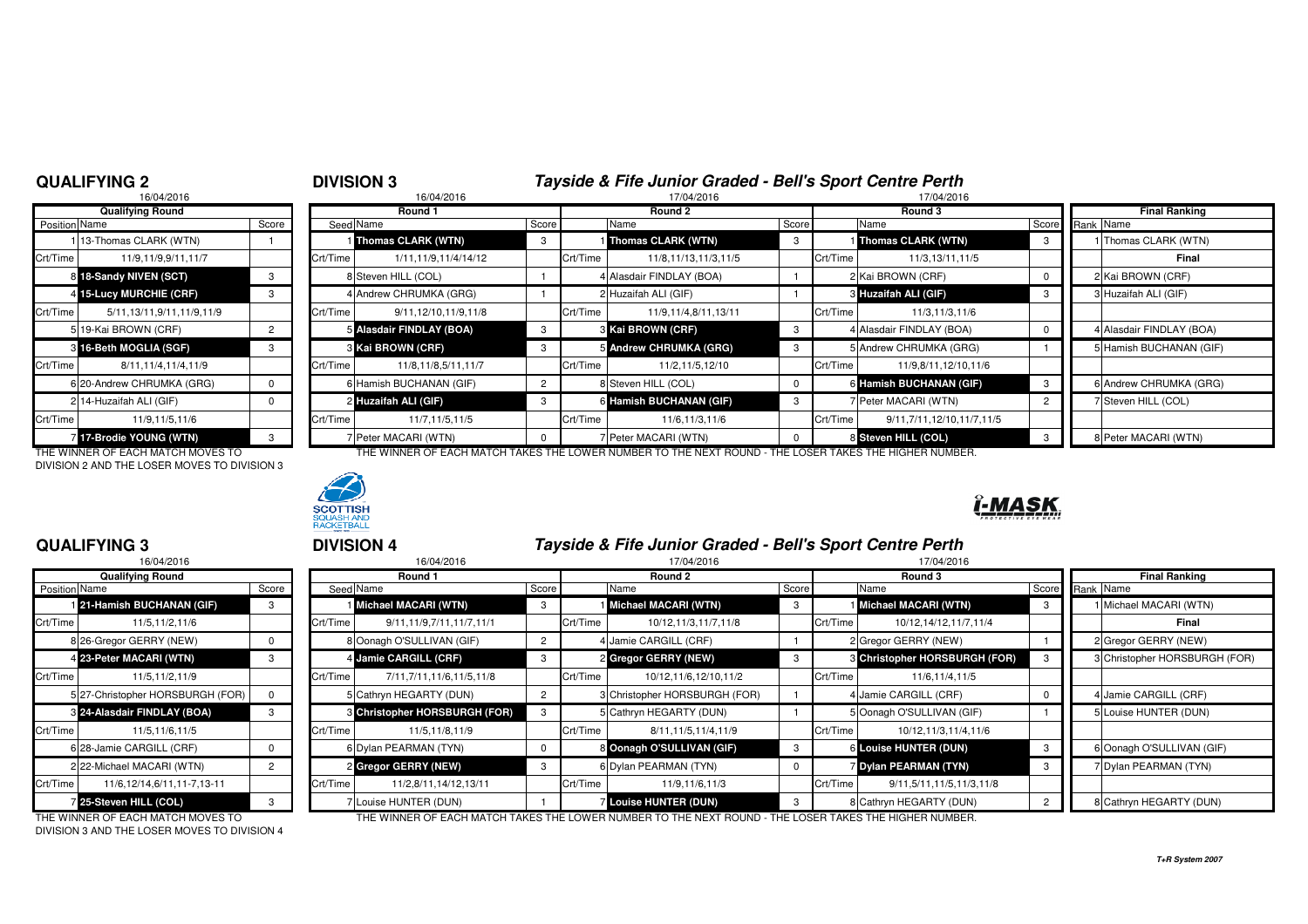#### **QUALIFYING 2**

#### <sup>2</sup> **DIVISION 3 Tayside & Fife Junior Graded - Bell's Sport Centre Perth**17/04/2016

|                               | 16/04/2016                    |                |                    | 16/04/2016               |   | 17/04/2016 |                          |          |          | 17/04/2016              |  |  |
|-------------------------------|-------------------------------|----------------|--------------------|--------------------------|---|------------|--------------------------|----------|----------|-------------------------|--|--|
|                               | <b>Qualifying Round</b>       |                |                    | Round 1                  |   | Round 2    |                          |          |          | Round 3                 |  |  |
| <b>Position Name</b><br>Score |                               |                | Seed Name<br>Score |                          |   |            | Name                     | Score    |          | Name                    |  |  |
|                               | 13-Thomas CLARK (WTN)         |                |                    | Thomas CLARK (WTN)       | з |            | Thomas CLARK (WTN)       | 3        |          | Thomas CLARK (WTN)      |  |  |
| Crt/Time                      | 11/9,11/9,9/11,11/7           |                | Crt/Time           | 1/11, 11/9, 11/4/14/12   |   | Crt/Time   | 11/8,11/13,11/3,11/5     |          | Crt/Time | 11/3,13/11,11           |  |  |
|                               | 8 18-Sandy NIVEN (SCT)        | 3              |                    | 8 Steven HILL (COL)      |   |            | 4 Alasdair FINDLAY (BOA) |          |          | 2 Kai BROWN (CRF)       |  |  |
|                               | 4 15-Lucy MURCHIE (CRF)       | 3              |                    | 4 Andrew CHRUMKA (GRG)   |   |            | 2 Huzaifah ALI (GIF)     |          |          | 3 Huzaifah ALI (GIF)    |  |  |
| Crt/Time                      | 5/11, 13/11, 9/11, 11/9, 11/9 |                | Crt/Time           | 9/11,12/10,11/9,11/8     |   | Crt/Time   | 11/9,11/4,8/11,13/11     |          | Crt/Time | 11/3, 11/3, 11          |  |  |
|                               | 5 19-Kai BROWN (CRF)          | $\overline{c}$ |                    | 5 Alasdair FINDLAY (BOA) | 3 |            | <b>8 Kai BROWN (CRF)</b> | 3        |          | 4 Alasdair FINDLAY (BOA |  |  |
|                               | 3 16-Beth MOGLIA (SGF)        | 3              |                    | 8 Kai BROWN (CRF)        | 3 |            | 5 Andrew CHRUMKA (GRG)   | 3        |          | 5 Andrew CHRUMKA (GR    |  |  |
| Crt/Time                      | 8/11, 11/4, 11/4, 11/9        |                | Crt/Time           | 11/8,11/8,5/11,11/7      |   | Crt/Time   | 11/2,11/5,12/10          |          | Crt/Time | 11/9,8/11,12/10         |  |  |
|                               | 6 20-Andrew CHRUMKA (GRG)     | $\Omega$       |                    | 6 Hamish BUCHANAN (GIF)  | 2 |            | 8 Steven HILL (COL)      | $\Omega$ |          | 6 Hamish BUCHANAN (G    |  |  |
|                               | 2 14-Huzaifah ALI (GIF)       | 0              |                    | 2 Huzaifah ALI (GIF)     | з |            | 6 Hamish BUCHANAN (GIF)  | 3        |          | 7 Peter MACARI (WTN)    |  |  |
| Crt/Time                      | 11/9.11/5.11/6                |                | Crt/Time           | 11/7,11/5,11/5           |   | Crt/Time   | 11/6,11/3,11/6           |          | Crt/Time | 9/11,7/11,12/10,11      |  |  |
|                               | 7 17-Brodie YOUNG (WTN)       | з              |                    | 7 Peter MACARI (WTN)     |   |            | 7 Peter MACARI (WTN)     | 0        |          | 8 Steven HILL (COL)     |  |  |

DIVISION 2 AND THE LOSER MOVES TO DIVISION 3



THE WINNER OF EACH MATCH MOVES TO THE WINNER OF EACH MATCH TAKES THE LOWER NUMBER TO THE NEXT ROUND - THE LOSER TAKES THE HIGHER NUMBER.



### **QUALIFYING 3**

|          | 16/04/2016                       |       |          |
|----------|----------------------------------|-------|----------|
|          | <b>Qualifying Round</b>          |       |          |
| Position | Name                             | Score | Seed     |
|          | 21-Hamish BUCHANAN (GIF)         | 3     |          |
| Crt/Time | 11/5,11/2,11/6                   |       | Crt/Time |
|          | 8 26-Gregor GERRY (NEW)          | 0     | 8        |
|          | 4 23-Peter MACARI (WTN)          | 3     | 4        |
| Crt/Time | 11/5.11/2.11/9                   |       | Crt/Time |
|          | 5 27-Christopher HORSBURGH (FOR) | 0     | 5        |
|          | 8 24-Alasdair FINDLAY (BOA)      | 3     | 3        |
| Crt/Time | 11/5.11/6.11/5                   |       | Crt/Time |
|          | 6 28-Jamie CARGILL (CRF)         | 0     | 6        |
|          | 2 22-Michael MACARI (WTN)        | 2     | 2        |
| Crt/Time | 11/6.12/14.6/11.11-7.13-11       |       | Crt/Time |
|          | 25-Steven HILL (COL)             | 3     | 7        |

<sup>3</sup> **DIVISION 4 Tayside & Fife Junior Graded - Bell's Sport Centre Perth**

| 16/04/2016    |                                   |       | 16/04/2016 |                                      |       |          | 17/04/2016                                                                                             |       |          | 17/04/2016                           |       |                               |
|---------------|-----------------------------------|-------|------------|--------------------------------------|-------|----------|--------------------------------------------------------------------------------------------------------|-------|----------|--------------------------------------|-------|-------------------------------|
|               | <b>Qualifying Round</b>           |       |            | Round 1                              |       |          | Round 2                                                                                                |       |          | Round 3                              |       | <b>Final Ranking</b>          |
| Position Name |                                   | Score |            | Seed Name                            | Score |          | Name                                                                                                   | Score |          | Name                                 | Score | Rank Name                     |
|               | 121-Hamish BUCHANAN (GIF)         |       |            | Michael MACARI (WTN)                 | -3    |          | <b>I</b> Michael MACARI (WTN)                                                                          | -3    |          | Michael MACARI (WTN)                 | -3    | 1 Michael MACARI (WTN)        |
| Crt/Time      | 11/5.11/2.11/6                    |       | Crt/Time   | 9/11.11/9.7/11.11/7.11/1             |       | Crt/Time | 10/12,11/3,11/7,11/8                                                                                   |       | Crt/Time | 10/12, 14/12, 11/7, 11/4             |       | Final                         |
|               | 8 26-Gregor GERRY (NEW)           |       |            | 8 Oonagh O'SULLIVAN (GIF)            |       |          | Jamie CARGILL (CRF)                                                                                    |       |          | 2 Gregor GERRY (NEW)                 |       | 2 Gregor GERRY (NEW)          |
|               | 4 23-Peter MACARI (WTN)           |       |            | 4 Jamie CARGILL (CRF)                |       |          | 2 Gregor GERRY (NEW)                                                                                   |       |          | <b>3 Christopher HORSBURGH (FOR)</b> |       | 3 Christopher HORSBURGH (FOR) |
| Crt/Time      | 11/5,11/2,11/9                    |       | Crt/Time   | 7/11,7/11,11/6,11/5,11/8             |       | Crt/Time | 10/12,11/6,12/10,11/2                                                                                  |       | Crt/Time | 11/6,11/4,11/5                       |       |                               |
|               | 5 27-Christopher HORSBURGH (FOR)  |       |            | 5 Cathryn HEGARTY (DUN)              |       |          | <b>B</b> Christopher HORSBURGH (FOR)                                                                   |       |          | 4 Jamie CARGILL (CRF)                |       | 4 Jamie CARGILL (CRF)         |
|               | 8 24-Alasdair FINDLAY (BOA)       |       |            | <b>8 Christopher HORSBURGH (FOR)</b> |       |          | 5 Cathryn HEGARTY (DUN)                                                                                |       |          | 5 Oonagh O'SULLIVAN (GIF)            |       | 5 Louise HUNTER (DUN)         |
| Crt/Time      | 11/5,11/6,11/5                    |       | Crt/Time   | 11/5,11/8,11/9                       |       | Crt/Time | 8/11.11/5.11/4.11/9                                                                                    |       | Crt/Time | 10/12,11/3,11/4,11/6                 |       |                               |
|               | 6 28-Jamie CARGILL (CRF)          |       |            | 6 Dylan PEARMAN (TYN)                |       |          | 8 Oonagh O'SULLIVAN (GIF)                                                                              |       |          | <b>6 Louise HUNTER (DUN)</b>         |       | 6 Oonagh O'SULLIVAN (GIF)     |
|               | 2 22-Michael MACARI (WTN)         |       |            | 2 Gregor GERRY (NEW)                 | -3    |          | 6 Dylan PEARMAN (TYN)                                                                                  |       |          | 7 Dylan PEARMAN (TYN)                |       | 7 Dylan PEARMAN (TYN)         |
| Crt/Time      | 11/6.12/14.6/11.11-7.13-11        |       | Crt/Time   | 11/2,8/11,14/12,13/11                |       | Crt/Time | 11/9,11/6,11/3                                                                                         |       | Crt/Time | 9/11.5/11.11/5.11/3.11/8             |       |                               |
|               | 25-Steven HILL (COL)              |       |            | 7 Louise HUNTER (DUN)                |       |          | <b>Louise HUNTER (DUN)</b>                                                                             |       |          | 8 Cathryn HEGARTY (DUN)              |       | 8 Cathryn HEGARTY (DUN)       |
|               | THE WINNER OF FAQUINATOU MOVED TO |       |            |                                      |       |          | THE WINNER OF EACH MATCH TAIZED THE LOWER NUMBER TO THE NEVT ROUND. THE LOOFR TAIZED THE HIGHER NUMBER |       |          |                                      |       |                               |

DIVISION 3 AND THE LOSER MOVES TO DIVISION 4

THE WINNER OF EACH MATCH MOVES TO THE WINNER OF EACH MATCH TAKES THE LOWER NUMBER TO THE NEXT ROUND - THE LOSER TAKES THE HIGHER NUMBER.